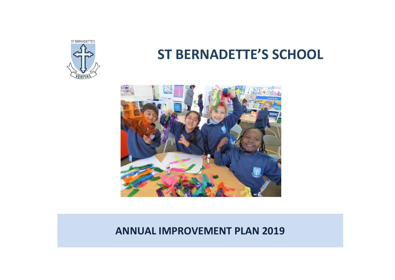

# **ST BERNADETTE'S SCHOOL**



## **ANNUAL IMPROVEMENT PLAN 2019**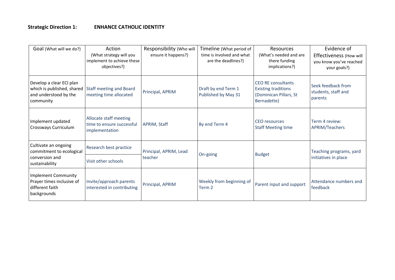#### **Strategic Direction 1: ENHANCE CATHOLIC IDENTITY**

| Goal (What will we do?)                                                                      | Action<br>(What strategy will you<br>implement to achieve these<br>objectives?) | Responsibility (Who will<br>ensure it happens?) | Timeline (What period of<br>time is involved and what<br>are the deadlines?) | Resources<br>(What's needed and are<br>there funding<br>implications?)                    | Evidence of<br>Effectiveness (How will<br>you know you've reached<br>your goals?) |
|----------------------------------------------------------------------------------------------|---------------------------------------------------------------------------------|-------------------------------------------------|------------------------------------------------------------------------------|-------------------------------------------------------------------------------------------|-----------------------------------------------------------------------------------|
| Develop a clear ECI plan<br>which is published, shared<br>and understood by the<br>community | Staff meeting and Board<br>meeting time allocated                               | Principal, APRIM                                | Draft by end Term 1<br>Published by May 31                                   | CEO RE consultants<br><b>Existing traditions</b><br>(Dominican Pillars, St<br>Bernadette) | Seek feedback from<br>students, staff and<br>parents                              |
| Implement updated<br>Crossways Curriculum                                                    | Allocate staff meeting<br>time to ensure successful<br>implementation           | APRIM, Staff                                    | By end Term 4                                                                | <b>CEO</b> resources<br><b>Staff Meeting time</b>                                         | Term 4 review:<br>APRIM/Teachers                                                  |
| Cultivate an ongoing<br>commitment to ecological<br>conversion and<br>sustainability         | Research best practice                                                          | Principal, APRIM, Lead                          |                                                                              |                                                                                           | Teaching programs, yard                                                           |
|                                                                                              | Visit other schools                                                             | teacher                                         | On-going                                                                     | <b>Budget</b>                                                                             | initiatives in place                                                              |
| <b>Implement Community</b><br>Prayer times inclusive of<br>different faith<br>backgrounds    | Invite/approach parents<br>interested in contributing                           | Principal, APRIM                                | Weekly from beginning of<br>Term <sub>2</sub>                                | Parent input and support                                                                  | Attendance numbers and<br>feedback                                                |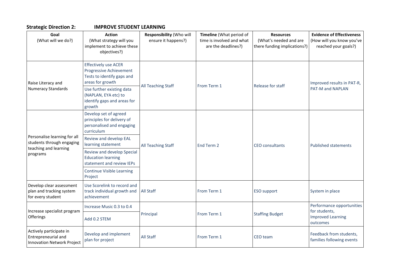| <b>IMPROVE STUDENT</b><br><b>Strategic Direction 2:</b> |  |  |  |  |
|---------------------------------------------------------|--|--|--|--|
|---------------------------------------------------------|--|--|--|--|

| <b>Strategic Direction 2:</b>                                                       | <b>IMPROVE STUDENT LEARNING</b>                                                                                 |                                                 |                                                                              |                                                                            |                                                                                       |  |  |
|-------------------------------------------------------------------------------------|-----------------------------------------------------------------------------------------------------------------|-------------------------------------------------|------------------------------------------------------------------------------|----------------------------------------------------------------------------|---------------------------------------------------------------------------------------|--|--|
| Goal<br>(What will we do?)                                                          | <b>Action</b><br>(What strategy will you<br>implement to achieve these<br>objectives?)                          | Responsibility (Who will<br>ensure it happens?) | Timeline (What period of<br>time is involved and what<br>are the deadlines?) | <b>Resources</b><br>(What's needed and are<br>there funding implications?) | <b>Evidence of Effectiveness</b><br>(How will you know you've<br>reached your goals?) |  |  |
| Raise Literacy and                                                                  | <b>Effectively use ACER</b><br><b>Progressive Achievement</b><br>Tests to identify gaps and<br>areas for growth | All Teaching Staff                              |                                                                              |                                                                            | Improved results in PAT-R,                                                            |  |  |
| <b>Numeracy Standards</b>                                                           | Use further existing data<br>(NAPLAN, EYA etc) to<br>identify gaps and areas for<br>growth                      |                                                 | From Term 1                                                                  | Release for staff                                                          | PAT-M and NAPLAN                                                                      |  |  |
|                                                                                     | Develop set of agreed<br>principles for delivery of<br>personalised and engaging<br>curriculum                  | All Teaching Staff                              | End Term 2                                                                   | <b>CEO</b> consultants                                                     | <b>Published statements</b>                                                           |  |  |
| Personalise learning for all<br>students through engaging                           | Review and develop EAL<br>learning statement                                                                    |                                                 |                                                                              |                                                                            |                                                                                       |  |  |
| teaching and learning<br>programs                                                   | Review and develop Special<br><b>Education learning</b><br>statement and review IEPs                            |                                                 |                                                                              |                                                                            |                                                                                       |  |  |
|                                                                                     | <b>Continue Visible Learning</b><br>Project                                                                     |                                                 |                                                                              |                                                                            |                                                                                       |  |  |
| Develop clear assessment<br>plan and tracking system<br>for every student           | Use Scorelink to record and<br>track individual growth and<br>achievement                                       | <b>All Staff</b>                                | From Term 1                                                                  | <b>ESO</b> support                                                         | System in place                                                                       |  |  |
| Increase specialist program<br>Offerings                                            | Increase Music 0.3 to 0.4                                                                                       |                                                 | From Term 1                                                                  | <b>Staffing Budget</b>                                                     | Performance opportunities                                                             |  |  |
|                                                                                     | Add 0.2 STEM                                                                                                    | Principal                                       |                                                                              |                                                                            | for students,<br><b>Improved Learning</b><br>outcomes                                 |  |  |
| Actively participate in<br>Entrepreneurial and<br><b>Innovation Network Project</b> | Develop and implement<br>plan for project                                                                       | <b>All Staff</b>                                | From Term 1                                                                  | CEO team                                                                   | Feedback from students,<br>families following events                                  |  |  |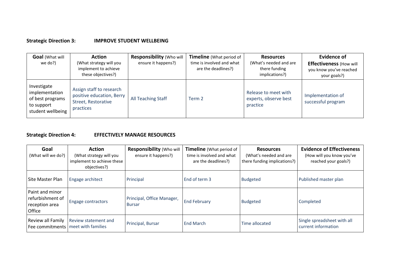#### **Strategic Direction 3: IMPROVE STUDENT WELLBEING**

| <b>Goal</b> (What will<br>we do?)                                                    | <b>Action</b><br>(What strategy will you<br>implement to achieve<br>these objectives?)    | Responsibility (Who will<br>ensure it happens?) | <b>Timeline</b> (What period of<br>time is involved and what<br>are the deadlines?) | <b>Resources</b><br>(What's needed and are<br>there funding<br>implications?) | <b>Evidence of</b><br><b>Effectiveness (How will</b><br>you know you've reached<br>your goals?) |
|--------------------------------------------------------------------------------------|-------------------------------------------------------------------------------------------|-------------------------------------------------|-------------------------------------------------------------------------------------|-------------------------------------------------------------------------------|-------------------------------------------------------------------------------------------------|
| Investigate<br>implementation<br>of best programs<br>to support<br>student wellbeing | Assign staff to research<br>positive education, Berry<br>Street, Restorative<br>practices | All Teaching Staff                              | Term 2                                                                              | Release to meet with<br>experts, observe best<br>practice                     | Implementation of<br>successful program                                                         |

### **Strategic Direction 4: EFFECTIVELY MANAGE RESOURCES**

| Goal<br>(What will we do?)                                             | <b>Action</b><br>(What strategy will you<br>implement to achieve these<br>objectives?) | <b>Responsibility (Who will</b><br>ensure it happens?) | <b>Timeline</b> (What period of<br>time is involved and what<br>are the deadlines?) | <b>Resources</b><br>(What's needed and are<br>there funding implications?) | <b>Evidence of Effectiveness</b><br>(How will you know you've<br>reached your goals?) |
|------------------------------------------------------------------------|----------------------------------------------------------------------------------------|--------------------------------------------------------|-------------------------------------------------------------------------------------|----------------------------------------------------------------------------|---------------------------------------------------------------------------------------|
| Site Master Plan                                                       | Engage architect                                                                       | Principal                                              | End of term 3                                                                       | <b>Budgeted</b>                                                            | Published master plan                                                                 |
| Paint and minor<br>refurbishment of<br>reception area<br><b>Office</b> | Engage contractors                                                                     | Principal, Office Manager,<br><b>Bursar</b>            | <b>End February</b>                                                                 | <b>Budgeted</b>                                                            | Completed                                                                             |
| Review all Family<br>Fee commitments   meet with families              | Review statement and                                                                   | Principal, Bursar                                      | <b>End March</b>                                                                    | Time allocated                                                             | Single spreadsheet with all<br>current information                                    |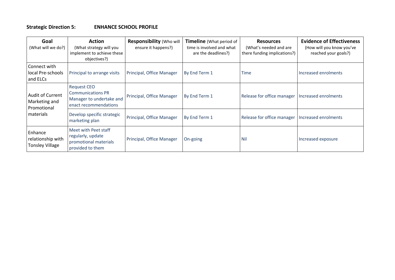#### **Strategic Direction 5: ENHANCE SCHOOL PROFILE**

| Goal<br>(What will we do?)                                           | <b>Action</b><br>(What strategy will you<br>implement to achieve these<br>objectives?)       | Responsibility (Who will<br>ensure it happens?) | <b>Timeline</b> (What period of<br>time is involved and what<br>are the deadlines?) | <b>Resources</b><br>(What's needed and are<br>there funding implications?) | <b>Evidence of Effectiveness</b><br>(How will you know you've<br>reached your goals?) |
|----------------------------------------------------------------------|----------------------------------------------------------------------------------------------|-------------------------------------------------|-------------------------------------------------------------------------------------|----------------------------------------------------------------------------|---------------------------------------------------------------------------------------|
| Connect with<br>local Pre-schools<br>and ELCs                        | Principal to arrange visits                                                                  | Principal, Office Manager                       | By End Term 1                                                                       | <b>Time</b>                                                                | Increased enrolments                                                                  |
| <b>Audit of Current</b><br>Marketing and<br>Promotional<br>materials | Request CEO<br><b>Communications PR</b><br>Manager to undertake and<br>enact recommendations | Principal, Office Manager                       | By End Term 1                                                                       | Release for office manager   Increased enrolments                          |                                                                                       |
|                                                                      | Develop specific strategic<br>marketing plan                                                 | Principal, Office Manager                       | By End Term 1                                                                       | Release for office manager   Increased enrolments                          |                                                                                       |
| Enhance<br>relationship with<br><b>Tonsley Village</b>               | Meet with Peet staff<br>regularly, update<br>promotional materials<br>provided to them       | Principal, Office Manager                       | On-going                                                                            | <b>Nil</b>                                                                 | Increased exposure                                                                    |